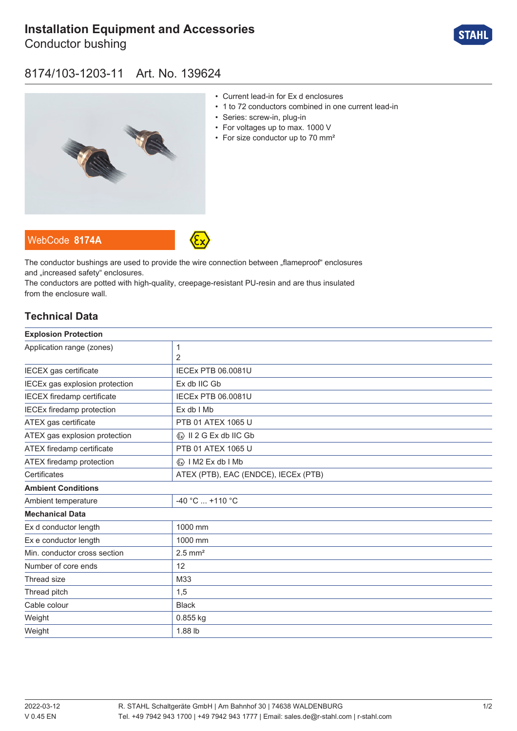# **[Installation Equipment and Accessories](https://r-stahl.com/en/global/products/materialid/139624)**

Conductor bushing



### 8174/103-1203-11 Art. No. 139624



- Current lead-in for Ex d enclosures
- 1 to 72 conductors combined in one current lead-in
- Series: screw-in, plug-in
- For voltages up to max. 1000 V
- For size conductor up to 70 mm<sup>2</sup>

WebCode **[8174A](https://r-stahl.com/en/global/products/downloads/webcode/8174A)**



The conductor bushings are used to provide the wire connection between "flameproof" enclosures and .increased safety" enclosures.

The conductors are potted with high-quality, creepage-resistant PU-resin and are thus insulated from the enclosure wall.

### **Technical Data**

| <b>Explosion Protection</b>       |                                         |
|-----------------------------------|-----------------------------------------|
| Application range (zones)         | 1                                       |
|                                   | $\overline{2}$                          |
| IECEX gas certificate             | <b>IECEX PTB 06.0081U</b>               |
| IECEx gas explosion protection    | Ex db IIC Gb                            |
| <b>IECEX</b> firedamp certificate | <b>IECEx PTB 06.0081U</b>               |
| <b>IECEx firedamp protection</b>  | Ex db I Mb                              |
| ATEX gas certificate              | PTB 01 ATEX 1065 U                      |
| ATEX gas explosion protection     | $\langle x \rangle$ II 2 G Ex db IIC Gb |
| ATEX firedamp certificate         | PTB 01 ATEX 1065 U                      |
| ATEX firedamp protection          | $\langle x \rangle$   M2 Ex db   Mb     |
| Certificates                      | ATEX (PTB), EAC (ENDCE), IECEx (PTB)    |
| <b>Ambient Conditions</b>         |                                         |
| Ambient temperature               | -40 °C  +110 °C                         |
| <b>Mechanical Data</b>            |                                         |
| Ex d conductor length             | 1000 mm                                 |
| Ex e conductor length             | 1000 mm                                 |
| Min. conductor cross section      | $2.5$ mm <sup>2</sup>                   |
| Number of core ends               | 12                                      |
| Thread size                       | M33                                     |
| Thread pitch                      | 1,5                                     |
| Cable colour                      | <b>Black</b>                            |
| Weight                            | 0.855 kg                                |
| Weight                            | 1.88 lb                                 |